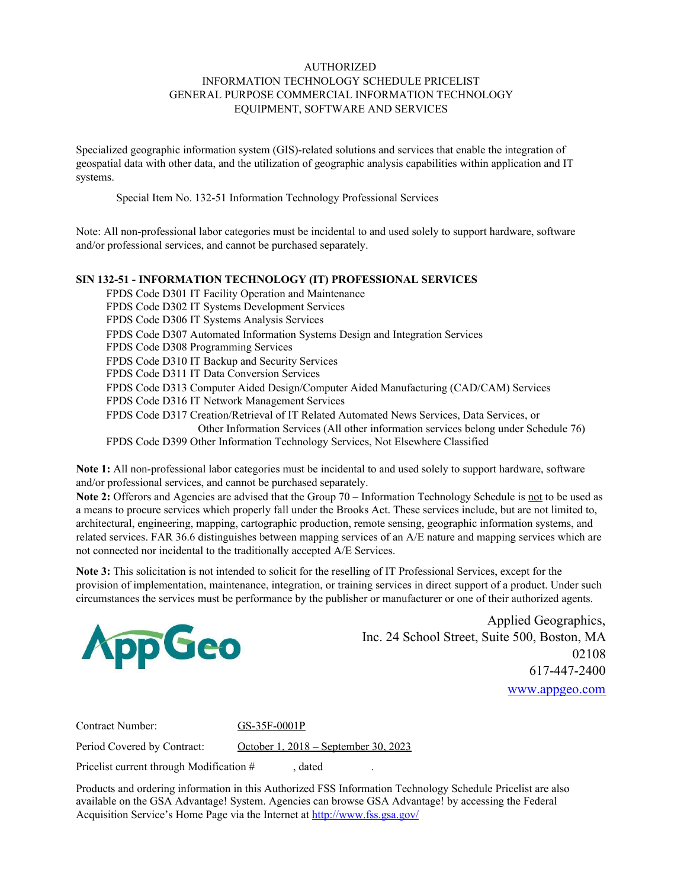## AUTHORIZED INFORMATION TECHNOLOGY SCHEDULE PRICELIST GENERAL PURPOSE COMMERCIAL INFORMATION TECHNOLOGY EQUIPMENT, SOFTWARE AND SERVICES

Specialized geographic information system (GIS)-related solutions and services that enable the integration of geospatial data with other data, and the utilization of geographic analysis capabilities within application and IT systems.

Special Item No. 132-51 Information Technology Professional Services

Note: All non-professional labor categories must be incidental to and used solely to support hardware, software and/or professional services, and cannot be purchased separately.

#### **SIN 132-51 - INFORMATION TECHNOLOGY (IT) PROFESSIONAL SERVICES**

FPDS Code D301 IT Facility Operation and Maintenance FPDS Code D302 IT Systems Development Services FPDS Code D306 IT Systems Analysis Services FPDS Code D307 Automated Information Systems Design and Integration Services FPDS Code D308 Programming Services FPDS Code D310 IT Backup and Security Services FPDS Code D311 IT Data Conversion Services FPDS Code D313 Computer Aided Design/Computer Aided Manufacturing (CAD/CAM) Services FPDS Code D316 IT Network Management Services FPDS Code D317 Creation/Retrieval of IT Related Automated News Services, Data Services, or Other Information Services (All other information services belong under Schedule 76) FPDS Code D399 Other Information Technology Services, Not Elsewhere Classified

**Note 1:** All non-professional labor categories must be incidental to and used solely to support hardware, software and/or professional services, and cannot be purchased separately.

**Note 2:** Offerors and Agencies are advised that the Group 70 – Information Technology Schedule is not to be used as a means to procure services which properly fall under the Brooks Act. These services include, but are not limited to, architectural, engineering, mapping, cartographic production, remote sensing, geographic information systems, and related services. FAR 36.6 distinguishes between mapping services of an A/E nature and mapping services which are not connected nor incidental to the traditionally accepted A/E Services.

**Note 3:** This solicitation is not intended to solicit for the reselling of IT Professional Services, except for the provision of implementation, maintenance, integration, or training services in direct support of a product. Under such circumstances the services must be performance by the publisher or manufacturer or one of their authorized agents.



Applied Geographics, Inc. 24 School Street, Suite 500, Boston, MA 02108 617-447-2400 [www.appgeo.com](http://www.appgeo.com/)

Contract Number: GS-35F-0001P

Period Covered by Contract: October 1, 2018 – September 30, 2023

Pricelist current through Modification #, dated

Products and ordering information in this Authorized FSS Information Technology Schedule Pricelist are also available on the GSA Advantage! System. Agencies can browse GSA Advantage! by accessing the Federal Acquisition Service's Home Page via the Internet at <http://www.fss.gsa.gov/>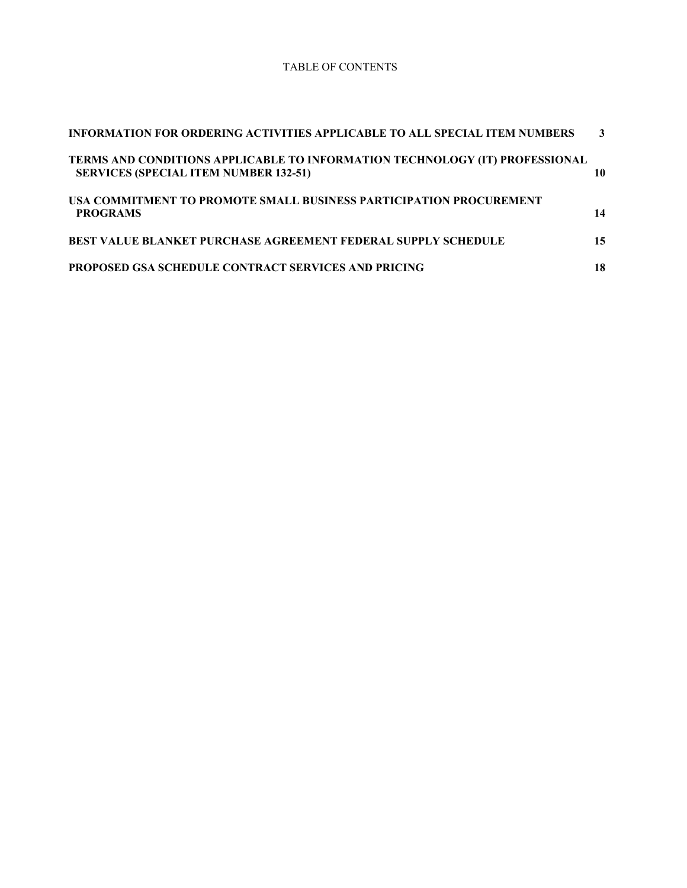#### TABLE OF CONTENTS

| INFORMATION FOR ORDERING ACTIVITIES APPLICABLE TO ALL SPECIAL ITEM NUMBERS                                                  | 3  |
|-----------------------------------------------------------------------------------------------------------------------------|----|
| TERMS AND CONDITIONS APPLICABLE TO INFORMATION TECHNOLOGY (IT) PROFESSIONAL<br><b>SERVICES (SPECIAL ITEM NUMBER 132-51)</b> | 10 |
| USA COMMITMENT TO PROMOTE SMALL BUSINESS PARTICIPATION PROCUREMENT<br><b>PROGRAMS</b>                                       | 14 |
| <b>BEST VALUE BLANKET PURCHASE AGREEMENT FEDERAL SUPPLY SCHEDULE</b>                                                        | 15 |
| <b>PROPOSED GSA SCHEDULE CONTRACT SERVICES AND PRICING</b>                                                                  | 18 |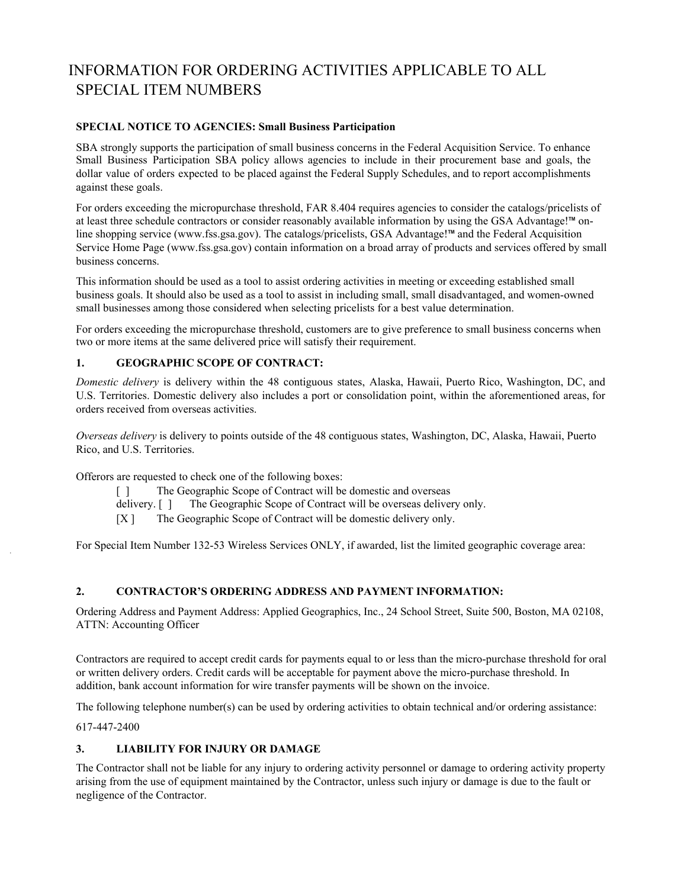# <span id="page-3-0"></span>INFORMATION FOR ORDERING ACTIVITIES APPLICABLE TO ALL SPECIAL ITEM NUMBERS

# **SPECIAL NOTICE TO AGENCIES: Small Business Participation**

SBA strongly supports the participation of small business concerns in the Federal Acquisition Service. To enhance Small Business Participation SBA policy allows agencies to include in their procurement base and goals, the dollar value of orders expected to be placed against the Federal Supply Schedules, and to report accomplishments against these goals.

For orders exceeding the micropurchase threshold, FAR 8.404 requires agencies to consider the catalogs/pricelists of at least three schedule contractors or consider reasonably available information by using the GSA Advantage!™ online shopping service (www.fss.gsa.gov). The catalogs/pricelists, GSA Advantage!™ and the Federal Acquisition Service Home Page (www.fss.gsa.gov) contain information on a broad array of products and services offered by small business concerns.

This information should be used as a tool to assist ordering activities in meeting or exceeding established small business goals. It should also be used as a tool to assist in including small, small disadvantaged, and women-owned small businesses among those considered when selecting pricelists for a best value determination.

For orders exceeding the micropurchase threshold, customers are to give preference to small business concerns when two or more items at the same delivered price will satisfy their requirement.

## **1. GEOGRAPHIC SCOPE OF CONTRACT:**

*Domestic delivery* is delivery within the 48 contiguous states, Alaska, Hawaii, Puerto Rico, Washington, DC, and U.S. Territories. Domestic delivery also includes a port or consolidation point, within the aforementioned areas, for orders received from overseas activities.

*Overseas delivery* is delivery to points outside of the 48 contiguous states, Washington, DC, Alaska, Hawaii, Puerto Rico, and U.S. Territories.

Offerors are requested to check one of the following boxes:

- [ ] The Geographic Scope of Contract will be domestic and overseas
- delivery. [ ] The Geographic Scope of Contract will be overseas delivery only.
- [X ] The Geographic Scope of Contract will be domestic delivery only.

For Special Item Number 132-53 Wireless Services ONLY, if awarded, list the limited geographic coverage area:

# **2. CONTRACTOR'S ORDERING ADDRESS AND PAYMENT INFORMATION:**

Ordering Address and Payment Address: Applied Geographics, Inc., 24 School Street, Suite 500, Boston, MA 02108, ATTN: Accounting Officer

Contractors are required to accept credit cards for payments equal to or less than the micro-purchase threshold for oral or written delivery orders. Credit cards will be acceptable for payment above the micro-purchase threshold. In addition, bank account information for wire transfer payments will be shown on the invoice.

The following telephone number(s) can be used by ordering activities to obtain technical and/or ordering assistance:

617-447-2400

#### **3. LIABILITY FOR INJURY OR DAMAGE**

The Contractor shall not be liable for any injury to ordering activity personnel or damage to ordering activity property arising from the use of equipment maintained by the Contractor, unless such injury or damage is due to the fault or negligence of the Contractor.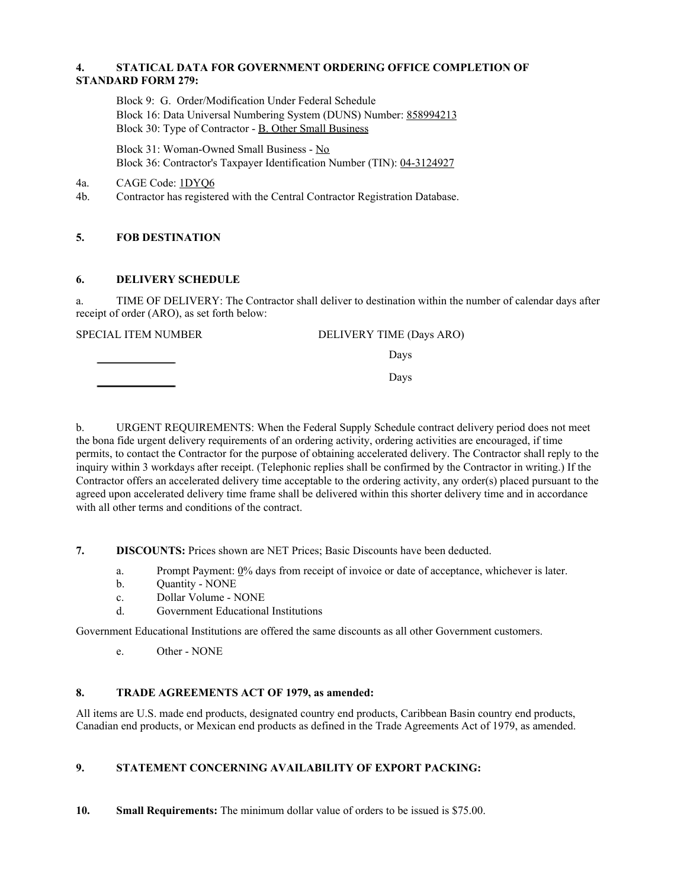### **4. STATICAL DATA FOR GOVERNMENT ORDERING OFFICE COMPLETION OF STANDARD FORM 279:**

Block 9: G. Order/Modification Under Federal Schedule Block 16: Data Universal Numbering System (DUNS) Number: 858994213 Block 30: Type of Contractor - B. Other Small Business

Block 31: Woman-Owned Small Business - No Block 36: Contractor's Taxpayer Identification Number (TIN): 04-3124927

4a. CAGE Code: 1DYQ6

4b. Contractor has registered with the Central Contractor Registration Database.

# **5. FOB DESTINATION**

## **6. DELIVERY SCHEDULE**

a. TIME OF DELIVERY: The Contractor shall deliver to destination within the number of calendar days after receipt of order (ARO), as set forth below:

SPECIAL ITEM NUMBER DELIVERY TIME (Days ARO)

Days

Days

b. URGENT REQUIREMENTS: When the Federal Supply Schedule contract delivery period does not meet the bona fide urgent delivery requirements of an ordering activity, ordering activities are encouraged, if time permits, to contact the Contractor for the purpose of obtaining accelerated delivery. The Contractor shall reply to the inquiry within 3 workdays after receipt. (Telephonic replies shall be confirmed by the Contractor in writing.) If the Contractor offers an accelerated delivery time acceptable to the ordering activity, any order(s) placed pursuant to the agreed upon accelerated delivery time frame shall be delivered within this shorter delivery time and in accordance with all other terms and conditions of the contract.

**7. DISCOUNTS:** Prices shown are NET Prices; Basic Discounts have been deducted.

- a. Prompt Payment: 0% days from receipt of invoice or date of acceptance, whichever is later.
- b. Quantity NONE
- c. Dollar Volume NONE
- d. Government Educational Institutions

Government Educational Institutions are offered the same discounts as all other Government customers.

e. Other - NONE

# **8. TRADE AGREEMENTS ACT OF 1979, as amended:**

All items are U.S. made end products, designated country end products, Caribbean Basin country end products, Canadian end products, or Mexican end products as defined in the Trade Agreements Act of 1979, as amended.

# **9. STATEMENT CONCERNING AVAILABILITY OF EXPORT PACKING:**

**10. Small Requirements:** The minimum dollar value of orders to be issued is \$75.00.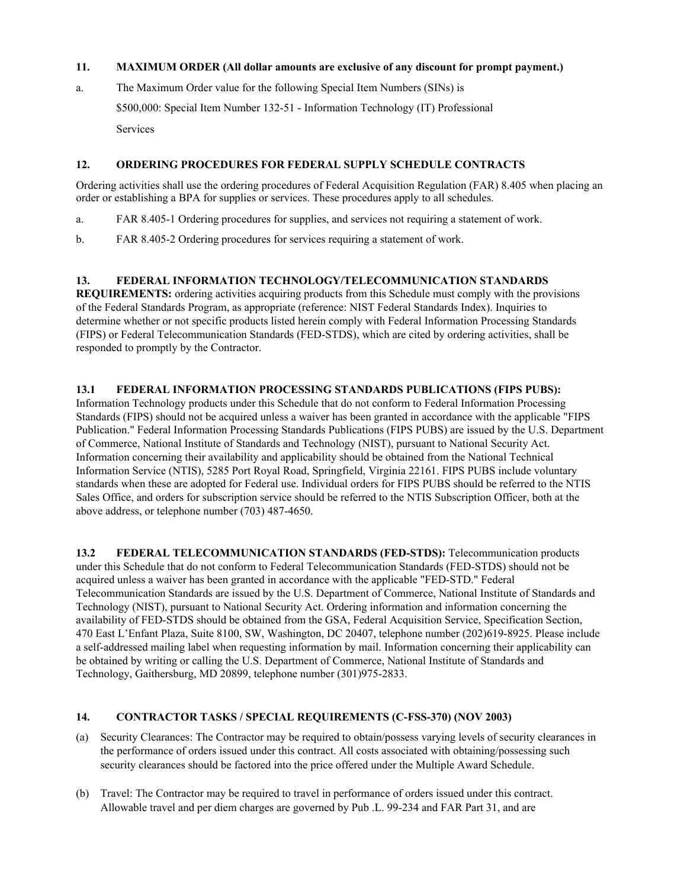#### **11. MAXIMUM ORDER (All dollar amounts are exclusive of any discount for prompt payment.)**

a. The Maximum Order value for the following Special Item Numbers (SINs) is \$500,000: Special Item Number 132-51 - Information Technology (IT) Professional Services

### **12. ORDERING PROCEDURES FOR FEDERAL SUPPLY SCHEDULE CONTRACTS**

Ordering activities shall use the ordering procedures of Federal Acquisition Regulation (FAR) 8.405 when placing an order or establishing a BPA for supplies or services. These procedures apply to all schedules.

- a. FAR 8.405-1 Ordering procedures for supplies, and services not requiring a statement of work.
- b. FAR 8.405-2 Ordering procedures for services requiring a statement of work.

## **13. FEDERAL INFORMATION TECHNOLOGY/TELECOMMUNICATION STANDARDS**

**REQUIREMENTS:** ordering activities acquiring products from this Schedule must comply with the provisions of the Federal Standards Program, as appropriate (reference: NIST Federal Standards Index). Inquiries to determine whether or not specific products listed herein comply with Federal Information Processing Standards (FIPS) or Federal Telecommunication Standards (FED-STDS), which are cited by ordering activities, shall be responded to promptly by the Contractor.

## **13.1 FEDERAL INFORMATION PROCESSING STANDARDS PUBLICATIONS (FIPS PUBS):**

Information Technology products under this Schedule that do not conform to Federal Information Processing Standards (FIPS) should not be acquired unless a waiver has been granted in accordance with the applicable "FIPS Publication." Federal Information Processing Standards Publications (FIPS PUBS) are issued by the U.S. Department of Commerce, National Institute of Standards and Technology (NIST), pursuant to National Security Act. Information concerning their availability and applicability should be obtained from the National Technical Information Service (NTIS), 5285 Port Royal Road, Springfield, Virginia 22161. FIPS PUBS include voluntary standards when these are adopted for Federal use. Individual orders for FIPS PUBS should be referred to the NTIS Sales Office, and orders for subscription service should be referred to the NTIS Subscription Officer, both at the above address, or telephone number (703) 487-4650.

**13.2 FEDERAL TELECOMMUNICATION STANDARDS (FED-STDS):** Telecommunication products under this Schedule that do not conform to Federal Telecommunication Standards (FED-STDS) should not be acquired unless a waiver has been granted in accordance with the applicable "FED-STD." Federal Telecommunication Standards are issued by the U.S. Department of Commerce, National Institute of Standards and Technology (NIST), pursuant to National Security Act. Ordering information and information concerning the availability of FED-STDS should be obtained from the GSA, Federal Acquisition Service, Specification Section, 470 East L'Enfant Plaza, Suite 8100, SW, Washington, DC 20407, telephone number (202)619-8925. Please include a self-addressed mailing label when requesting information by mail. Information concerning their applicability can be obtained by writing or calling the U.S. Department of Commerce, National Institute of Standards and Technology, Gaithersburg, MD 20899, telephone number (301)975-2833.

#### **14. CONTRACTOR TASKS / SPECIAL REQUIREMENTS (C-FSS-370) (NOV 2003)**

- (a) Security Clearances: The Contractor may be required to obtain/possess varying levels of security clearances in the performance of orders issued under this contract. All costs associated with obtaining/possessing such security clearances should be factored into the price offered under the Multiple Award Schedule.
- (b) Travel: The Contractor may be required to travel in performance of orders issued under this contract. Allowable travel and per diem charges are governed by Pub .L. 99-234 and FAR Part 31, and are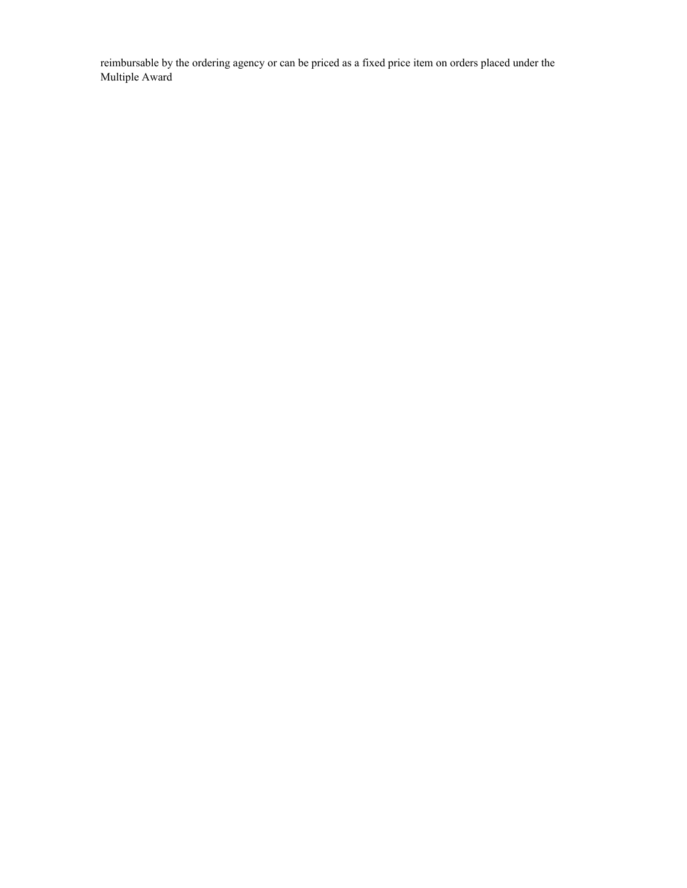reimbursable by the ordering agency or can be priced as a fixed price item on orders placed under the Multiple Award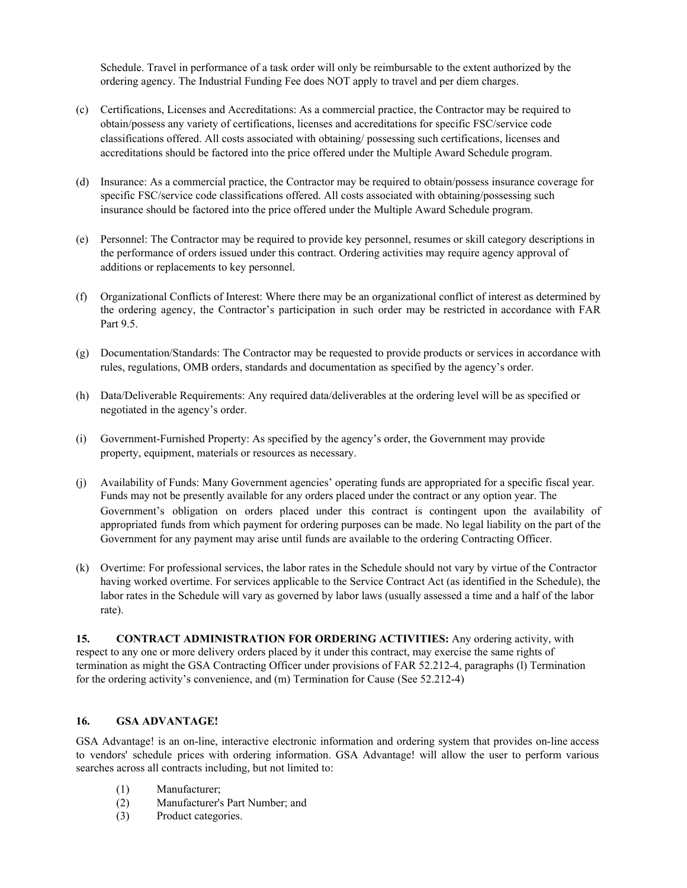Schedule. Travel in performance of a task order will only be reimbursable to the extent authorized by the ordering agency. The Industrial Funding Fee does NOT apply to travel and per diem charges.

- (c) Certifications, Licenses and Accreditations: As a commercial practice, the Contractor may be required to obtain/possess any variety of certifications, licenses and accreditations for specific FSC/service code classifications offered. All costs associated with obtaining/ possessing such certifications, licenses and accreditations should be factored into the price offered under the Multiple Award Schedule program.
- (d) Insurance: As a commercial practice, the Contractor may be required to obtain/possess insurance coverage for specific FSC/service code classifications offered. All costs associated with obtaining/possessing such insurance should be factored into the price offered under the Multiple Award Schedule program.
- (e) Personnel: The Contractor may be required to provide key personnel, resumes or skill category descriptions in the performance of orders issued under this contract. Ordering activities may require agency approval of additions or replacements to key personnel.
- (f) Organizational Conflicts of Interest: Where there may be an organizational conflict of interest as determined by the ordering agency, the Contractor's participation in such order may be restricted in accordance with FAR Part 9.5.
- (g) Documentation/Standards: The Contractor may be requested to provide products or services in accordance with rules, regulations, OMB orders, standards and documentation as specified by the agency's order.
- (h) Data/Deliverable Requirements: Any required data/deliverables at the ordering level will be as specified or negotiated in the agency's order.
- (i) Government-Furnished Property: As specified by the agency's order, the Government may provide property, equipment, materials or resources as necessary.
- (j) Availability of Funds: Many Government agencies' operating funds are appropriated for a specific fiscal year. Funds may not be presently available for any orders placed under the contract or any option year. The Government's obligation on orders placed under this contract is contingent upon the availability of appropriated funds from which payment for ordering purposes can be made. No legal liability on the part of the Government for any payment may arise until funds are available to the ordering Contracting Officer.
- (k) Overtime: For professional services, the labor rates in the Schedule should not vary by virtue of the Contractor having worked overtime. For services applicable to the Service Contract Act (as identified in the Schedule), the labor rates in the Schedule will vary as governed by labor laws (usually assessed a time and a half of the labor rate).

**15. CONTRACT ADMINISTRATION FOR ORDERING ACTIVITIES:** Any ordering activity, with respect to any one or more delivery orders placed by it under this contract, may exercise the same rights of termination as might the GSA Contracting Officer under provisions of FAR 52.212-4, paragraphs (l) Termination for the ordering activity's convenience, and (m) Termination for Cause (See 52.212-4)

# **16. GSA ADVANTAGE!**

GSA Advantage! is an on-line, interactive electronic information and ordering system that provides on-line access to vendors' schedule prices with ordering information. GSA Advantage! will allow the user to perform various searches across all contracts including, but not limited to:

- (1) Manufacturer;
- (2) Manufacturer's Part Number; and
- (3) Product categories.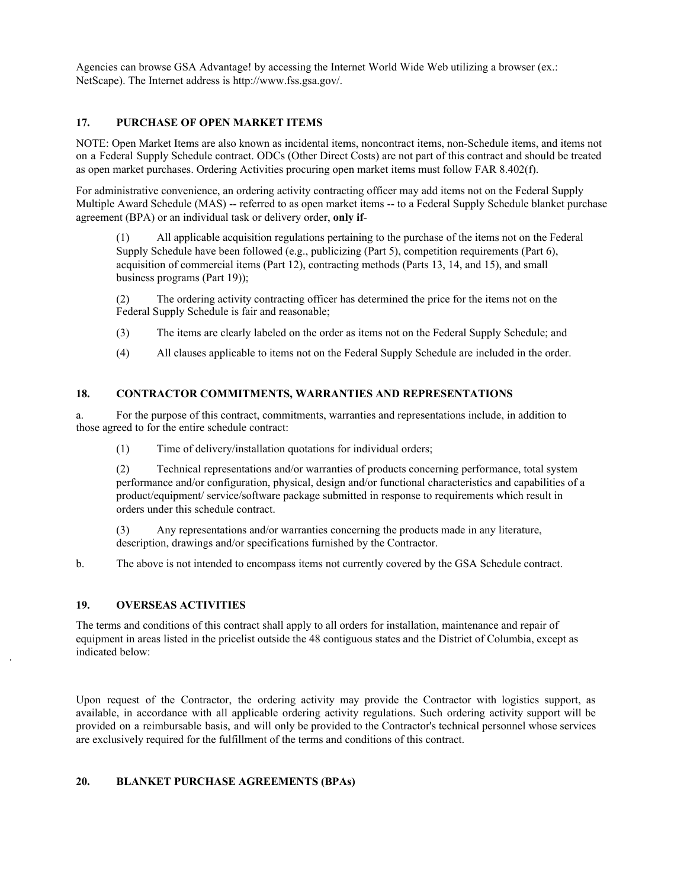Agencies can browse GSA Advantage! by accessing the Internet World Wide Web utilizing a browser (ex.: NetScape). The Internet address is [http://www.fss.gsa.gov/.](http://www.fss.gsa.gov/)

### **17. PURCHASE OF OPEN MARKET ITEMS**

NOTE: Open Market Items are also known as incidental items, noncontract items, non-Schedule items, and items not on a Federal Supply Schedule contract. ODCs (Other Direct Costs) are not part of this contract and should be treated as open market purchases. Ordering Activities procuring open market items must follow FAR 8.402(f).

For administrative convenience, an ordering activity contracting officer may add items not on the Federal Supply Multiple Award Schedule (MAS) -- referred to as open market items -- to a Federal Supply Schedule blanket purchase agreement (BPA) or an individual task or delivery order, **only if**-

(1) All applicable acquisition regulations pertaining to the purchase of the items not on the Federal Supply Schedule have been followed (e.g., publicizing (Part 5), competition requirements (Part 6), acquisition of commercial items (Part 12), contracting methods (Parts 13, 14, and 15), and small business programs (Part 19));

(2) The ordering activity contracting officer has determined the price for the items not on the Federal Supply Schedule is fair and reasonable;

- (3) The items are clearly labeled on the order as items not on the Federal Supply Schedule; and
- (4) All clauses applicable to items not on the Federal Supply Schedule are included in the order.

#### **18. CONTRACTOR COMMITMENTS, WARRANTIES AND REPRESENTATIONS**

a. For the purpose of this contract, commitments, warranties and representations include, in addition to those agreed to for the entire schedule contract:

(1) Time of delivery/installation quotations for individual orders;

(2) Technical representations and/or warranties of products concerning performance, total system performance and/or configuration, physical, design and/or functional characteristics and capabilities of a product/equipment/ service/software package submitted in response to requirements which result in orders under this schedule contract.

(3) Any representations and/or warranties concerning the products made in any literature, description, drawings and/or specifications furnished by the Contractor.

b. The above is not intended to encompass items not currently covered by the GSA Schedule contract.

#### **19. OVERSEAS ACTIVITIES**

The terms and conditions of this contract shall apply to all orders for installation, maintenance and repair of equipment in areas listed in the pricelist outside the 48 contiguous states and the District of Columbia, except as indicated below:

Upon request of the Contractor, the ordering activity may provide the Contractor with logistics support, as available, in accordance with all applicable ordering activity regulations. Such ordering activity support will be provided on a reimbursable basis, and will only be provided to the Contractor's technical personnel whose services are exclusively required for the fulfillment of the terms and conditions of this contract.

#### **20. BLANKET PURCHASE AGREEMENTS (BPAs)**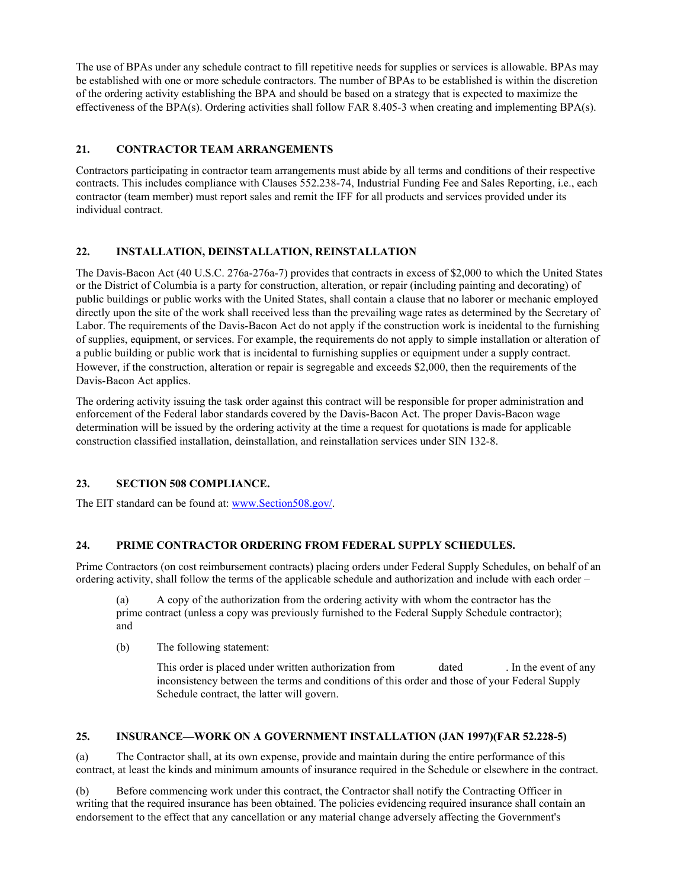The use of BPAs under any schedule contract to fill repetitive needs for supplies or services is allowable. BPAs may be established with one or more schedule contractors. The number of BPAs to be established is within the discretion of the ordering activity establishing the BPA and should be based on a strategy that is expected to maximize the effectiveness of the BPA(s). Ordering activities shall follow FAR 8.405-3 when creating and implementing BPA(s).

## **21. CONTRACTOR TEAM ARRANGEMENTS**

Contractors participating in contractor team arrangements must abide by all terms and conditions of their respective contracts. This includes compliance with Clauses 552.238-74, Industrial Funding Fee and Sales Reporting, i.e., each contractor (team member) must report sales and remit the IFF for all products and services provided under its individual contract.

# **22. INSTALLATION, DEINSTALLATION, REINSTALLATION**

The Davis-Bacon Act (40 U.S.C. 276a-276a-7) provides that contracts in excess of \$2,000 to which the United States or the District of Columbia is a party for construction, alteration, or repair (including painting and decorating) of public buildings or public works with the United States, shall contain a clause that no laborer or mechanic employed directly upon the site of the work shall received less than the prevailing wage rates as determined by the Secretary of Labor. The requirements of the Davis-Bacon Act do not apply if the construction work is incidental to the furnishing of supplies, equipment, or services. For example, the requirements do not apply to simple installation or alteration of a public building or public work that is incidental to furnishing supplies or equipment under a supply contract. However, if the construction, alteration or repair is segregable and exceeds \$2,000, then the requirements of the Davis-Bacon Act applies.

The ordering activity issuing the task order against this contract will be responsible for proper administration and enforcement of the Federal labor standards covered by the Davis-Bacon Act. The proper Davis-Bacon wage determination will be issued by the ordering activity at the time a request for quotations is made for applicable construction classified installation, deinstallation, and reinstallation services under SIN 132-8.

#### **23. SECTION 508 COMPLIANCE.**

The EIT standard can be found at: [www.Section508.gov/.](http://www.section508.gov/)

#### **24. PRIME CONTRACTOR ORDERING FROM FEDERAL SUPPLY SCHEDULES.**

Prime Contractors (on cost reimbursement contracts) placing orders under Federal Supply Schedules, on behalf of an ordering activity, shall follow the terms of the applicable schedule and authorization and include with each order –

(a) A copy of the authorization from the ordering activity with whom the contractor has the prime contract (unless a copy was previously furnished to the Federal Supply Schedule contractor); and

(b) The following statement:

This order is placed under written authorization from dated . In the event of any inconsistency between the terms and conditions of this order and those of your Federal Supply Schedule contract, the latter will govern.

## **25. INSURANCE—WORK ON A GOVERNMENT INSTALLATION (JAN 1997)(FAR 52.228-5)**

(a) The Contractor shall, at its own expense, provide and maintain during the entire performance of this contract, at least the kinds and minimum amounts of insurance required in the Schedule or elsewhere in the contract.

(b) Before commencing work under this contract, the Contractor shall notify the Contracting Officer in writing that the required insurance has been obtained. The policies evidencing required insurance shall contain an endorsement to the effect that any cancellation or any material change adversely affecting the Government's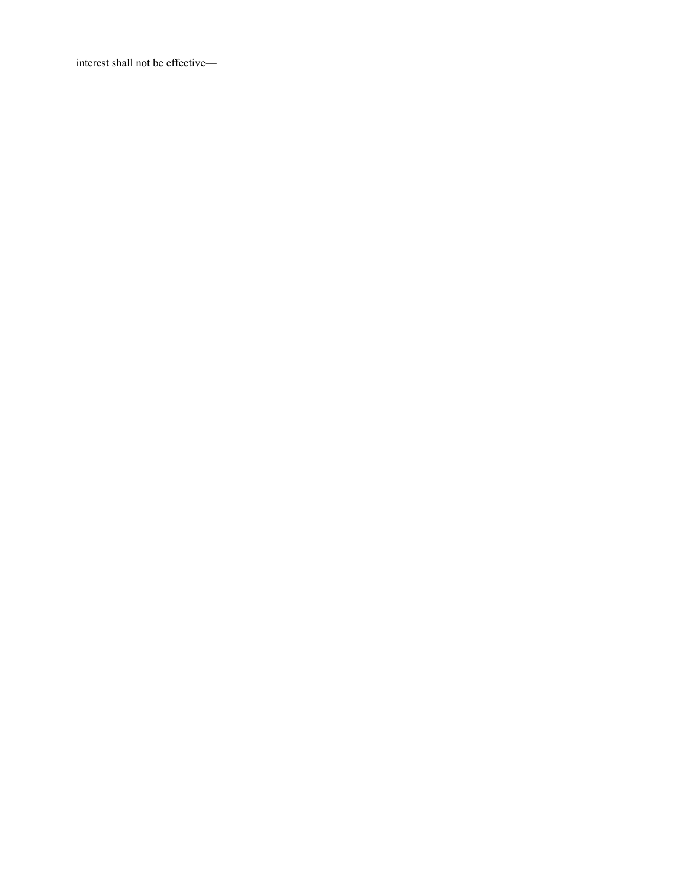interest shall not be effective—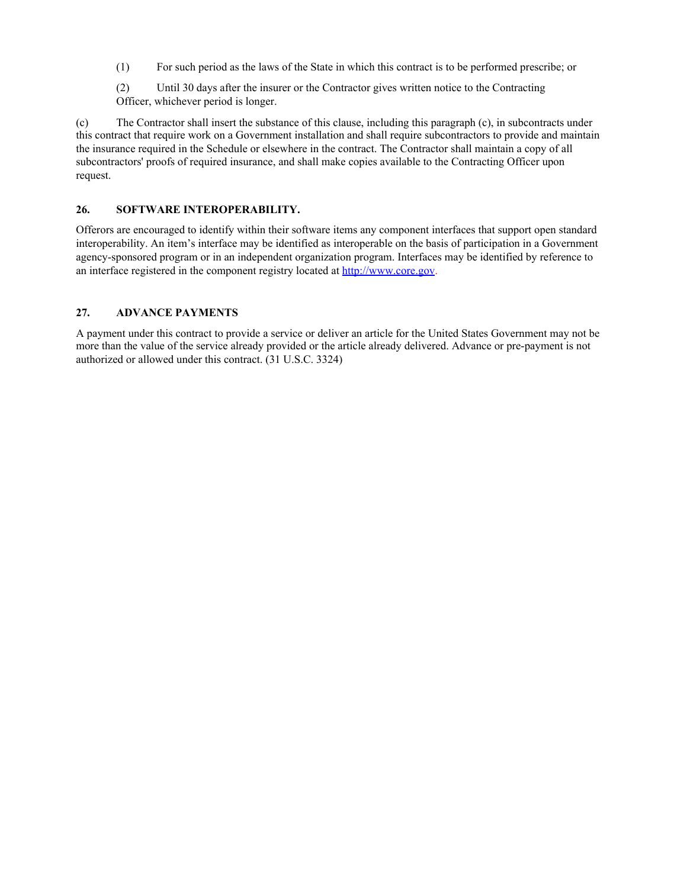(1) For such period as the laws of the State in which this contract is to be performed prescribe; or

(2) Until 30 days after the insurer or the Contractor gives written notice to the Contracting Officer, whichever period is longer.

(c) The Contractor shall insert the substance of this clause, including this paragraph (c), in subcontracts under this contract that require work on a Government installation and shall require subcontractors to provide and maintain the insurance required in the Schedule or elsewhere in the contract. The Contractor shall maintain a copy of all subcontractors' proofs of required insurance, and shall make copies available to the Contracting Officer upon request.

## **26. SOFTWARE INTEROPERABILITY.**

Offerors are encouraged to identify within their software items any component interfaces that support open standard interoperability. An item's interface may be identified as interoperable on the basis of participation in a Government agency-sponsored program or in an independent organization program. Interfaces may be identified by reference to an interface registered in the component registry located at [http://www.core.gov.](http://www.core.gov/)

## **27. ADVANCE PAYMENTS**

A payment under this contract to provide a service or deliver an article for the United States Government may not be more than the value of the service already provided or the article already delivered. Advance or pre-payment is not authorized or allowed under this contract. (31 U.S.C. 3324)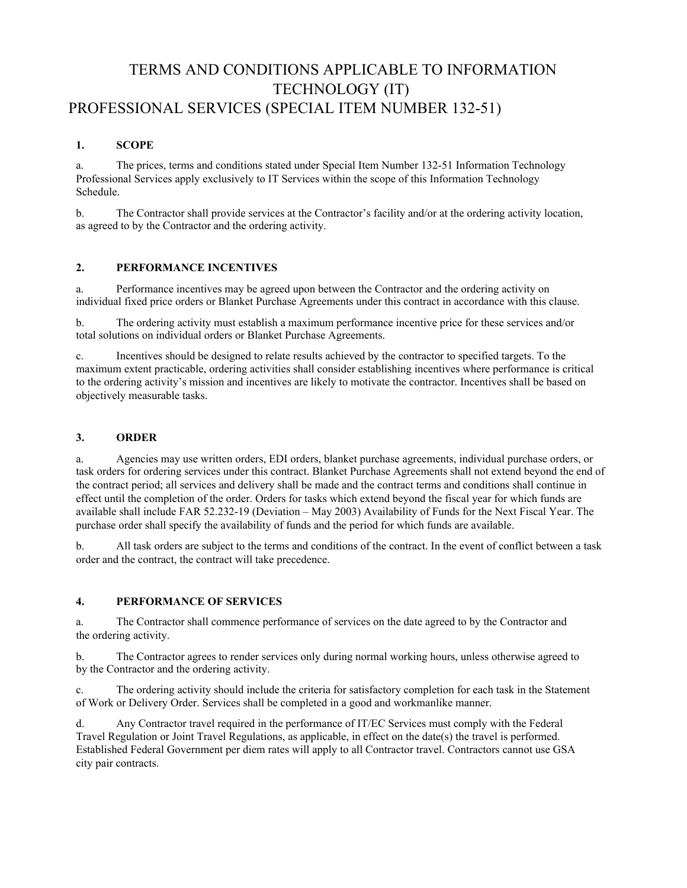# <span id="page-14-0"></span>TERMS AND CONDITIONS APPLICABLE TO INFORMATION TECHNOLOGY (IT) PROFESSIONAL SERVICES (SPECIAL ITEM NUMBER 132-51)

# **1. SCOPE**

a. The prices, terms and conditions stated under Special Item Number 132-51 Information Technology Professional Services apply exclusively to IT Services within the scope of this Information Technology Schedule.

b. The Contractor shall provide services at the Contractor's facility and/or at the ordering activity location, as agreed to by the Contractor and the ordering activity.

# **2. PERFORMANCE INCENTIVES**

a. Performance incentives may be agreed upon between the Contractor and the ordering activity on individual fixed price orders or Blanket Purchase Agreements under this contract in accordance with this clause.

b. The ordering activity must establish a maximum performance incentive price for these services and/or total solutions on individual orders or Blanket Purchase Agreements.

c. Incentives should be designed to relate results achieved by the contractor to specified targets. To the maximum extent practicable, ordering activities shall consider establishing incentives where performance is critical to the ordering activity's mission and incentives are likely to motivate the contractor. Incentives shall be based on objectively measurable tasks.

# **3. ORDER**

a. Agencies may use written orders, EDI orders, blanket purchase agreements, individual purchase orders, or task orders for ordering services under this contract. Blanket Purchase Agreements shall not extend beyond the end of the contract period; all services and delivery shall be made and the contract terms and conditions shall continue in effect until the completion of the order. Orders for tasks which extend beyond the fiscal year for which funds are available shall include FAR 52.232-19 (Deviation – May 2003) Availability of Funds for the Next Fiscal Year. The purchase order shall specify the availability of funds and the period for which funds are available.

b. All task orders are subject to the terms and conditions of the contract. In the event of conflict between a task order and the contract, the contract will take precedence.

# **4. PERFORMANCE OF SERVICES**

a. The Contractor shall commence performance of services on the date agreed to by the Contractor and the ordering activity.

b. The Contractor agrees to render services only during normal working hours, unless otherwise agreed to by the Contractor and the ordering activity.

c. The ordering activity should include the criteria for satisfactory completion for each task in the Statement of Work or Delivery Order. Services shall be completed in a good and workmanlike manner.

d. Any Contractor travel required in the performance of IT/EC Services must comply with the Federal Travel Regulation or Joint Travel Regulations, as applicable, in effect on the date(s) the travel is performed. Established Federal Government per diem rates will apply to all Contractor travel. Contractors cannot use GSA city pair contracts.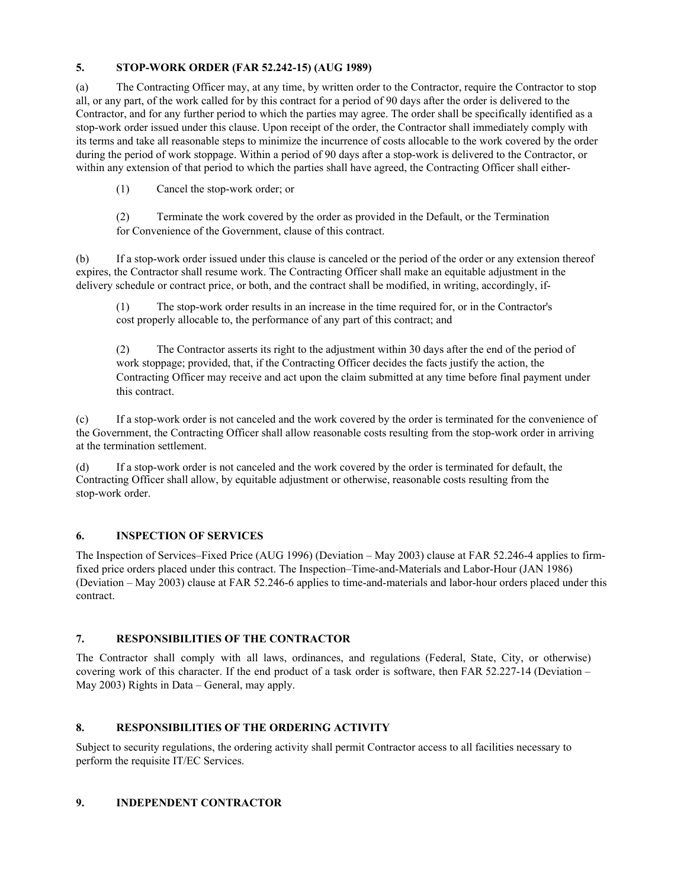# **5. STOP-WORK ORDER (FAR 52.242-15) (AUG 1989)**

(a) The Contracting Officer may, at any time, by written order to the Contractor, require the Contractor to stop all, or any part, of the work called for by this contract for a period of 90 days after the order is delivered to the Contractor, and for any further period to which the parties may agree. The order shall be specifically identified as a stop-work order issued under this clause. Upon receipt of the order, the Contractor shall immediately comply with its terms and take all reasonable steps to minimize the incurrence of costs allocable to the work covered by the order during the period of work stoppage. Within a period of 90 days after a stop-work is delivered to the Contractor, or within any extension of that period to which the parties shall have agreed, the Contracting Officer shall either-

(1) Cancel the stop-work order; or

(2) Terminate the work covered by the order as provided in the Default, or the Termination for Convenience of the Government, clause of this contract.

(b) If a stop-work order issued under this clause is canceled or the period of the order or any extension thereof expires, the Contractor shall resume work. The Contracting Officer shall make an equitable adjustment in the delivery schedule or contract price, or both, and the contract shall be modified, in writing, accordingly, if-

(1) The stop-work order results in an increase in the time required for, or in the Contractor's cost properly allocable to, the performance of any part of this contract; and

(2) The Contractor asserts its right to the adjustment within 30 days after the end of the period of work stoppage; provided, that, if the Contracting Officer decides the facts justify the action, the Contracting Officer may receive and act upon the claim submitted at any time before final payment under this contract.

(c) If a stop-work order is not canceled and the work covered by the order is terminated for the convenience of the Government, the Contracting Officer shall allow reasonable costs resulting from the stop-work order in arriving at the termination settlement.

(d) If a stop-work order is not canceled and the work covered by the order is terminated for default, the Contracting Officer shall allow, by equitable adjustment or otherwise, reasonable costs resulting from the stop-work order.

# **6. INSPECTION OF SERVICES**

The Inspection of Services–Fixed Price (AUG 1996) (Deviation – May 2003) clause at FAR 52.246-4 applies to firmfixed price orders placed under this contract. The Inspection–Time-and-Materials and Labor-Hour (JAN 1986) (Deviation – May 2003) clause at FAR 52.246-6 applies to time-and-materials and labor-hour orders placed under this contract.

# **7. RESPONSIBILITIES OF THE CONTRACTOR**

The Contractor shall comply with all laws, ordinances, and regulations (Federal, State, City, or otherwise) covering work of this character. If the end product of a task order is software, then FAR 52.227-14 (Deviation – May 2003) Rights in Data – General, may apply.

# **8. RESPONSIBILITIES OF THE ORDERING ACTIVITY**

Subject to security regulations, the ordering activity shall permit Contractor access to all facilities necessary to perform the requisite IT/EC Services.

# **9. INDEPENDENT CONTRACTOR**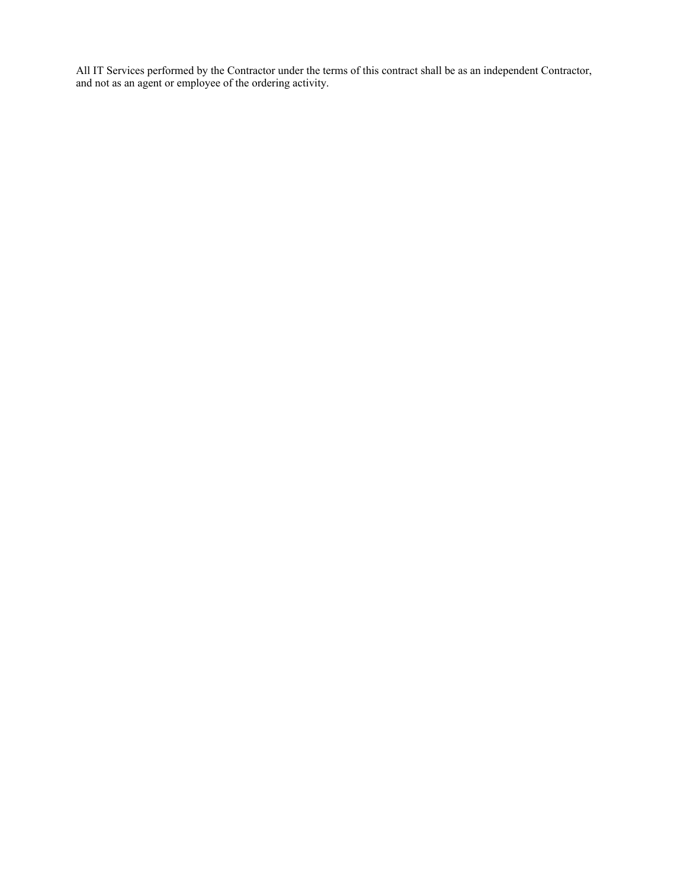All IT Services performed by the Contractor under the terms of this contract shall be as an independent Contractor, and not as an agent or employee of the ordering activity.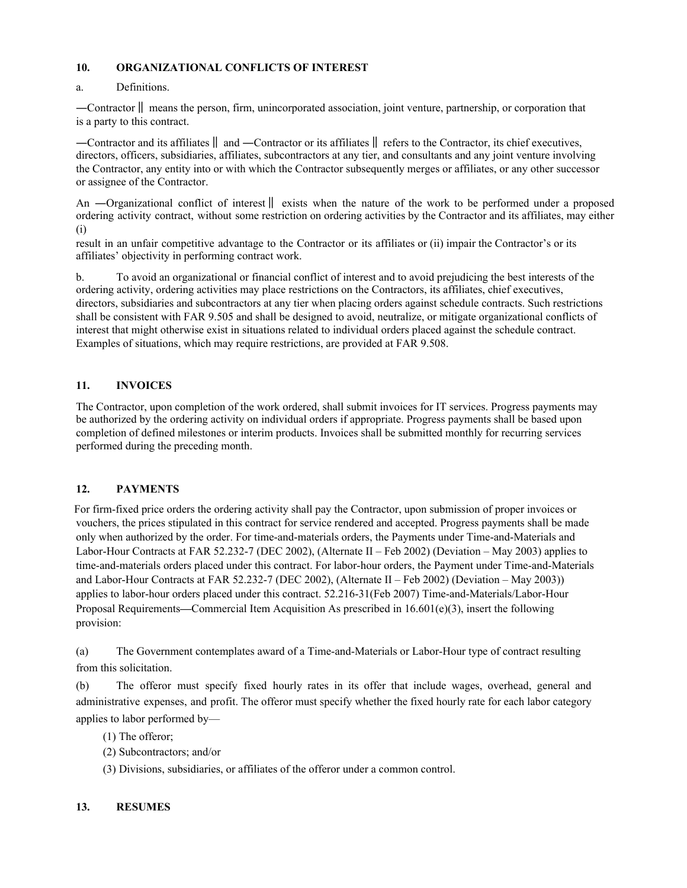# **10. ORGANIZATIONAL CONFLICTS OF INTEREST**

# a. Definitions.

―Contractor‖ means the person, firm, unincorporated association, joint venture, partnership, or corporation that is a party to this contract.

―Contractor and its affiliates‖ and ―Contractor or its affiliates‖ refers to the Contractor, its chief executives, directors, officers, subsidiaries, affiliates, subcontractors at any tier, and consultants and any joint venture involving the Contractor, any entity into or with which the Contractor subsequently merges or affiliates, or any other successor or assignee of the Contractor.

An —Organizational conflict of interest  $\parallel$  exists when the nature of the work to be performed under a proposed ordering activity contract, without some restriction on ordering activities by the Contractor and its affiliates, may either (i)

result in an unfair competitive advantage to the Contractor or its affiliates or (ii) impair the Contractor's or its affiliates' objectivity in performing contract work.

b. To avoid an organizational or financial conflict of interest and to avoid prejudicing the best interests of the ordering activity, ordering activities may place restrictions on the Contractors, its affiliates, chief executives, directors, subsidiaries and subcontractors at any tier when placing orders against schedule contracts. Such restrictions shall be consistent with FAR 9.505 and shall be designed to avoid, neutralize, or mitigate organizational conflicts of interest that might otherwise exist in situations related to individual orders placed against the schedule contract. Examples of situations, which may require restrictions, are provided at FAR 9.508.

# **11. INVOICES**

The Contractor, upon completion of the work ordered, shall submit invoices for IT services. Progress payments may be authorized by the ordering activity on individual orders if appropriate. Progress payments shall be based upon completion of defined milestones or interim products. Invoices shall be submitted monthly for recurring services performed during the preceding month.

# **12. PAYMENTS**

For firm-fixed price orders the ordering activity shall pay the Contractor, upon submission of proper invoices or vouchers, the prices stipulated in this contract for service rendered and accepted. Progress payments shall be made only when authorized by the order. For time-and-materials orders, the Payments under Time-and-Materials and Labor-Hour Contracts at FAR 52.232-7 (DEC 2002), (Alternate II – Feb 2002) (Deviation – May 2003) applies to time-and-materials orders placed under this contract. For labor-hour orders, the Payment under Time-and-Materials and Labor-Hour Contracts at FAR 52.232-7 (DEC 2002), (Alternate II – Feb 2002) (Deviation – May 2003)) applies to labor-hour orders placed under this contract. 52.216-31(Feb 2007) Time-and-Materials/Labor-Hour Proposal Requirements**—**Commercial Item Acquisition As prescribed in 16.601(e)(3), insert the following provision:

(a) The Government contemplates award of a Time-and-Materials or Labor-Hour type of contract resulting from this solicitation.

(b) The offeror must specify fixed hourly rates in its offer that include wages, overhead, general and administrative expenses, and profit. The offeror must specify whether the fixed hourly rate for each labor category applies to labor performed by—

- (1) The offeror;
- (2) Subcontractors; and/or
- (3) Divisions, subsidiaries, or affiliates of the offeror under a common control.

# **13. RESUMES**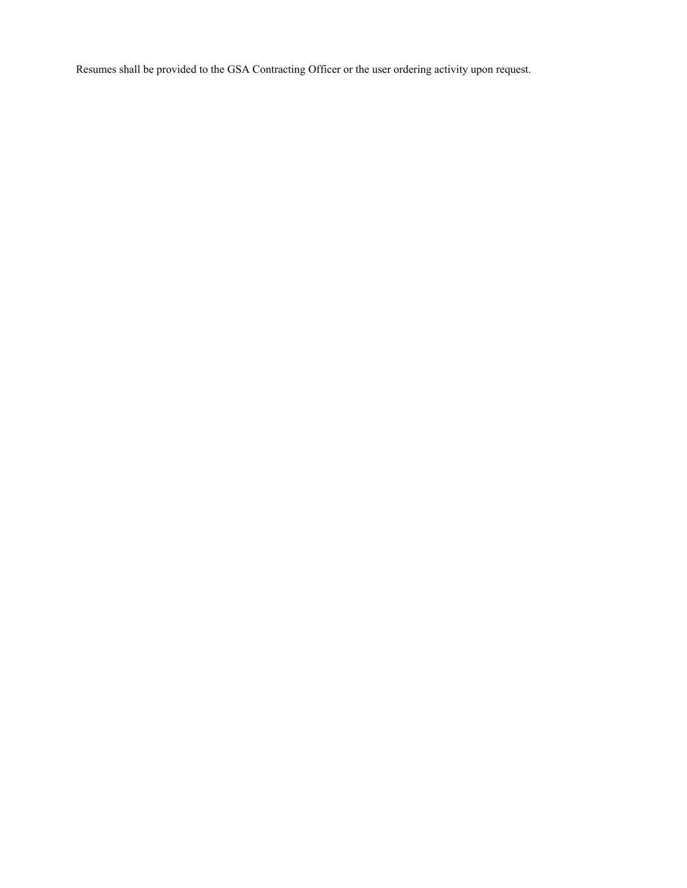Resumes shall be provided to the GSA Contracting Officer or the user ordering activity upon request.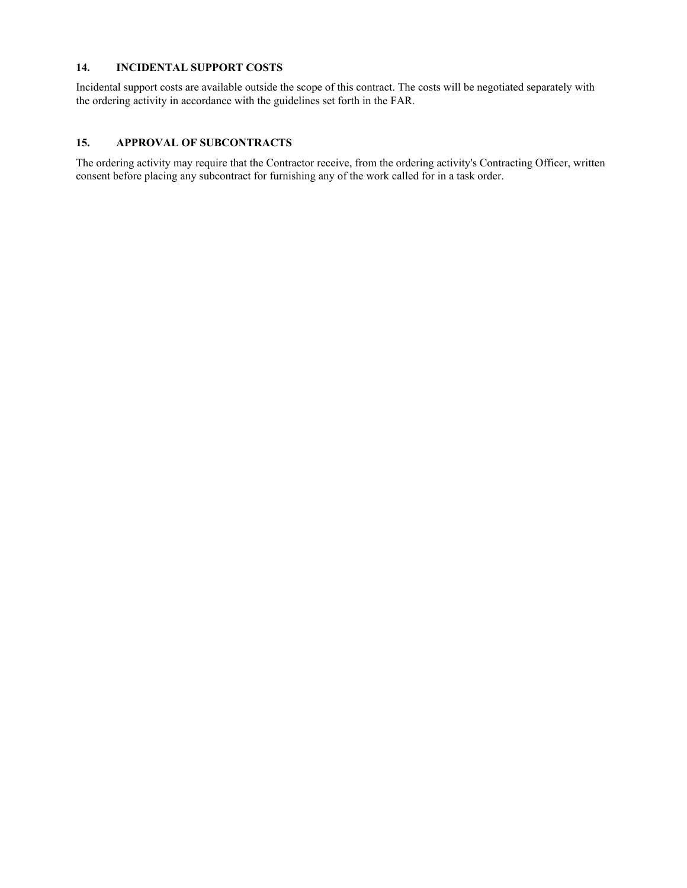## **14. INCIDENTAL SUPPORT COSTS**

Incidental support costs are available outside the scope of this contract. The costs will be negotiated separately with the ordering activity in accordance with the guidelines set forth in the FAR.

# **15. APPROVAL OF SUBCONTRACTS**

The ordering activity may require that the Contractor receive, from the ordering activity's Contracting Officer, written consent before placing any subcontract for furnishing any of the work called for in a task order.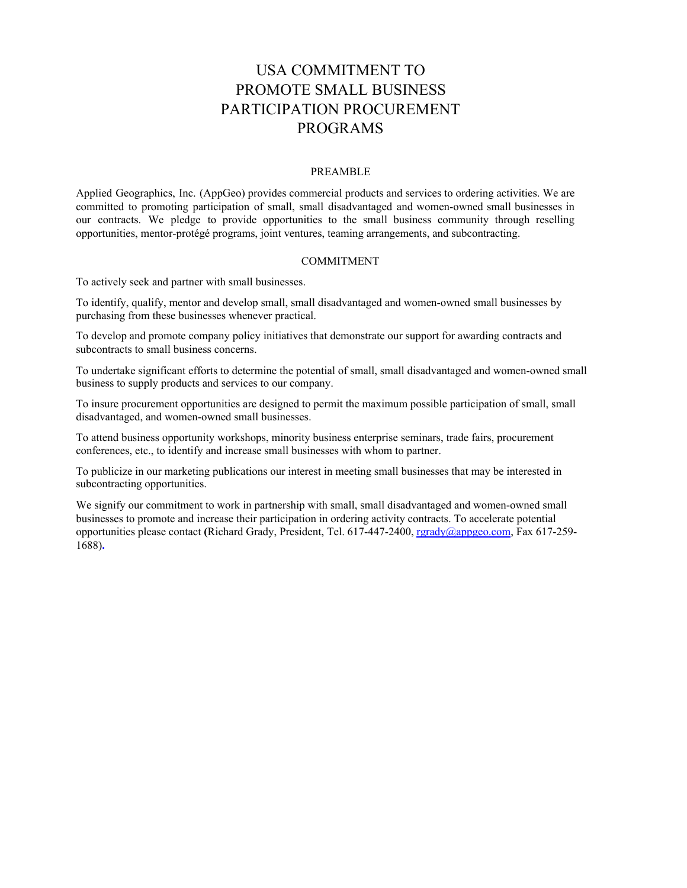# USA COMMITMENT TO PROMOTE SMALL BUSINESS PARTICIPATION PROCUREMENT PROGRAMS

#### PREAMBLE

<span id="page-20-0"></span>Applied Geographics, Inc. (AppGeo) provides commercial products and services to ordering activities. We are committed to promoting participation of small, small disadvantaged and women-owned small businesses in our contracts. We pledge to provide opportunities to the small business community through reselling opportunities, mentor-protégé programs, joint ventures, teaming arrangements, and subcontracting.

#### COMMITMENT

To actively seek and partner with small businesses.

To identify, qualify, mentor and develop small, small disadvantaged and women-owned small businesses by purchasing from these businesses whenever practical.

To develop and promote company policy initiatives that demonstrate our support for awarding contracts and subcontracts to small business concerns.

To undertake significant efforts to determine the potential of small, small disadvantaged and women-owned small business to supply products and services to our company.

To insure procurement opportunities are designed to permit the maximum possible participation of small, small disadvantaged, and women-owned small businesses.

To attend business opportunity workshops, minority business enterprise seminars, trade fairs, procurement conferences, etc., to identify and increase small businesses with whom to partner.

To publicize in our marketing publications our interest in meeting small businesses that may be interested in subcontracting opportunities.

We signify our commitment to work in partnership with small, small disadvantaged and women-owned small businesses to promote and increase their participation in ordering activity contracts. To accelerate potential opportunities please contact **(**Richard Grady, President, Tel. 617-447-2400, [rgrady@appgeo.com,](mailto:rgrady@appgeo.com) Fax 617-259- 1688)**.**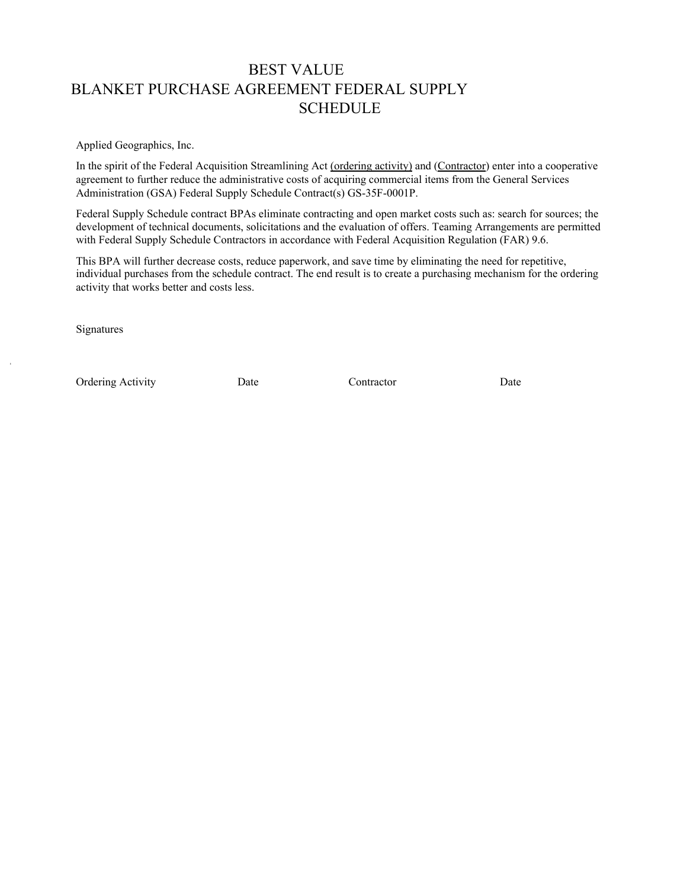# <span id="page-21-0"></span>BEST VALUE BLANKET PURCHASE AGREEMENT FEDERAL SUPPLY **SCHEDULE**

Applied Geographics, Inc.

In the spirit of the Federal Acquisition Streamlining Act (ordering activity) and (Contractor) enter into a cooperative agreement to further reduce the administrative costs of acquiring commercial items from the General Services Administration (GSA) Federal Supply Schedule Contract(s) GS-35F-0001P.

Federal Supply Schedule contract BPAs eliminate contracting and open market costs such as: search for sources; the development of technical documents, solicitations and the evaluation of offers. Teaming Arrangements are permitted with Federal Supply Schedule Contractors in accordance with Federal Acquisition Regulation (FAR) 9.6.

This BPA will further decrease costs, reduce paperwork, and save time by eliminating the need for repetitive, individual purchases from the schedule contract. The end result is to create a purchasing mechanism for the ordering activity that works better and costs less.

Signatures

Ordering Activity **Date Date Contractor** Date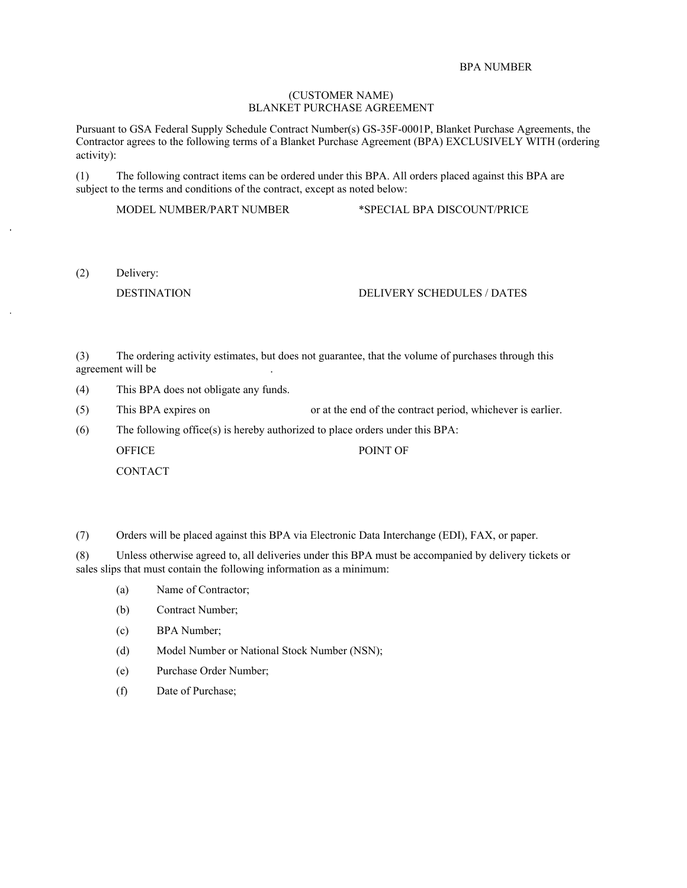#### BPA NUMBER

#### (CUSTOMER NAME) BLANKET PURCHASE AGREEMENT

Pursuant to GSA Federal Supply Schedule Contract Number(s) GS-35F-0001P, Blanket Purchase Agreements, the Contractor agrees to the following terms of a Blanket Purchase Agreement (BPA) EXCLUSIVELY WITH (ordering activity):

(1) The following contract items can be ordered under this BPA. All orders placed against this BPA are subject to the terms and conditions of the contract, except as noted below:

MODEL NUMBER/PART NUMBER \*SPECIAL BPA DISCOUNT/PRICE

(2) Delivery:

#### DESTINATION DELIVERY SCHEDULES / DATES

(3) The ordering activity estimates, but does not guarantee, that the volume of purchases through this agreement will be

- (4) This BPA does not obligate any funds.
- (5) This BPA expires on or at the end of the contract period, whichever is earlier.

(6) The following office(s) is hereby authorized to place orders under this BPA:

OFFICE POINT OF **CONTACT** 

(7) Orders will be placed against this BPA via Electronic Data Interchange (EDI), FAX, or paper.

(8) Unless otherwise agreed to, all deliveries under this BPA must be accompanied by delivery tickets or sales slips that must contain the following information as a minimum:

- (a) Name of Contractor;
- (b) Contract Number;
- (c) BPA Number;
- (d) Model Number or National Stock Number (NSN);
- (e) Purchase Order Number;
- (f) Date of Purchase;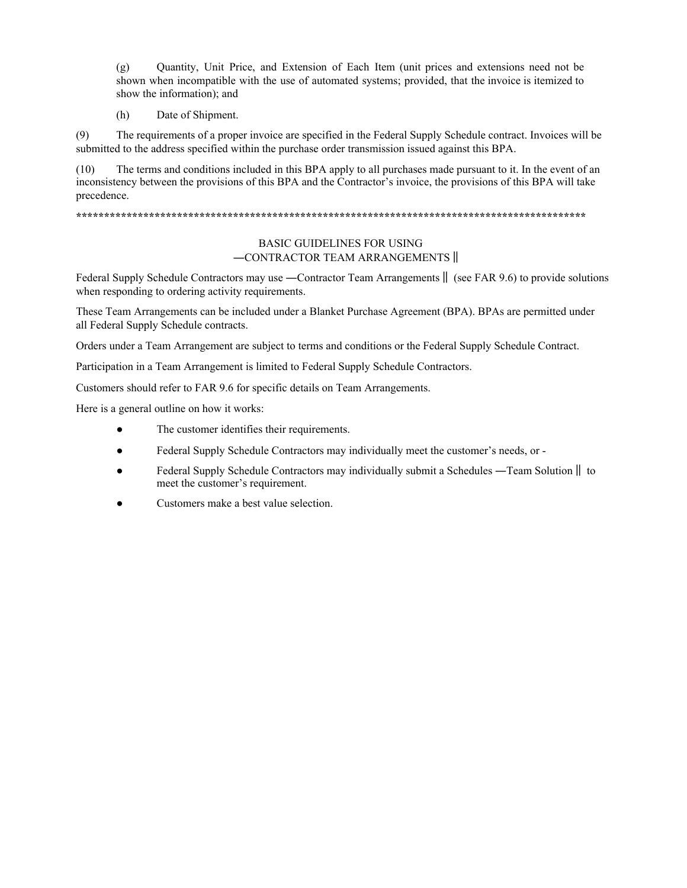(g) Quantity, Unit Price, and Extension of Each Item (unit prices and extensions need not be shown when incompatible with the use of automated systems; provided, that the invoice is itemized to show the information); and

(h) Date of Shipment.

(9) The requirements of a proper invoice are specified in the Federal Supply Schedule contract. Invoices will be submitted to the address specified within the purchase order transmission issued against this BPA.

(10) The terms and conditions included in this BPA apply to all purchases made pursuant to it. In the event of an inconsistency between the provisions of this BPA and the Contractor's invoice, the provisions of this BPA will take precedence.

#### **\*\*\*\*\*\*\*\*\*\*\*\*\*\*\*\*\*\*\*\*\*\*\*\*\*\*\*\*\*\*\*\*\*\*\*\*\*\*\*\*\*\*\*\*\*\*\*\*\*\*\*\*\*\*\*\*\*\*\*\*\*\*\*\*\*\*\*\*\*\*\*\*\*\*\*\*\*\*\*\*\*\*\*\*\*\*\*\*\*\*\***

## BASIC GUIDELINES FOR USING ―CONTRACTOR TEAM ARRANGEMENTS‖

Federal Supply Schedule Contractors may use —Contractor Team Arrangements  $\parallel$  (see FAR 9.6) to provide solutions when responding to ordering activity requirements.

These Team Arrangements can be included under a Blanket Purchase Agreement (BPA). BPAs are permitted under all Federal Supply Schedule contracts.

Orders under a Team Arrangement are subject to terms and conditions or the Federal Supply Schedule Contract.

Participation in a Team Arrangement is limited to Federal Supply Schedule Contractors.

Customers should refer to FAR 9.6 for specific details on Team Arrangements.

Here is a general outline on how it works:

- The customer identifies their requirements.
- Federal Supply Schedule Contractors may individually meet the customer's needs, or -
- Federal Supply Schedule Contractors may individually submit a Schedules —Team Solution  $\parallel$  to meet the customer's requirement.
- Customers make a best value selection.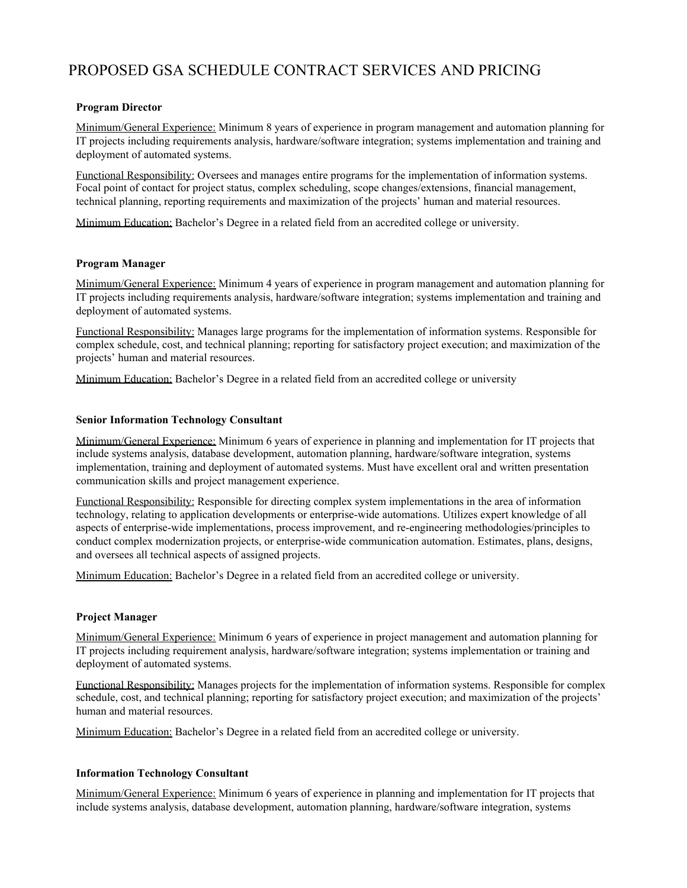# <span id="page-24-0"></span>PROPOSED GSA SCHEDULE CONTRACT SERVICES AND PRICING

## **Program Director**

Minimum/General Experience: Minimum 8 years of experience in program management and automation planning for IT projects including requirements analysis, hardware/software integration; systems implementation and training and deployment of automated systems.

Functional Responsibility: Oversees and manages entire programs for the implementation of information systems. Focal point of contact for project status, complex scheduling, scope changes/extensions, financial management, technical planning, reporting requirements and maximization of the projects' human and material resources.

Minimum Education: Bachelor's Degree in a related field from an accredited college or university.

### **Program Manager**

Minimum/General Experience: Minimum 4 years of experience in program management and automation planning for IT projects including requirements analysis, hardware/software integration; systems implementation and training and deployment of automated systems.

Functional Responsibility: Manages large programs for the implementation of information systems. Responsible for complex schedule, cost, and technical planning; reporting for satisfactory project execution; and maximization of the projects' human and material resources.

Minimum Education: Bachelor's Degree in a related field from an accredited college or university

#### **Senior Information Technology Consultant**

Minimum/General Experience: Minimum 6 years of experience in planning and implementation for IT projects that include systems analysis, database development, automation planning, hardware/software integration, systems implementation, training and deployment of automated systems. Must have excellent oral and written presentation communication skills and project management experience.

Functional Responsibility: Responsible for directing complex system implementations in the area of information technology, relating to application developments or enterprise-wide automations. Utilizes expert knowledge of all aspects of enterprise-wide implementations, process improvement, and re-engineering methodologies/principles to conduct complex modernization projects, or enterprise-wide communication automation. Estimates, plans, designs, and oversees all technical aspects of assigned projects.

Minimum Education: Bachelor's Degree in a related field from an accredited college or university.

#### **Project Manager**

Minimum/General Experience: Minimum 6 years of experience in project management and automation planning for IT projects including requirement analysis, hardware/software integration; systems implementation or training and deployment of automated systems.

Functional Responsibility: Manages projects for the implementation of information systems. Responsible for complex schedule, cost, and technical planning; reporting for satisfactory project execution; and maximization of the projects' human and material resources.

Minimum Education: Bachelor's Degree in a related field from an accredited college or university.

#### **Information Technology Consultant**

Minimum/General Experience: Minimum 6 years of experience in planning and implementation for IT projects that include systems analysis, database development, automation planning, hardware/software integration, systems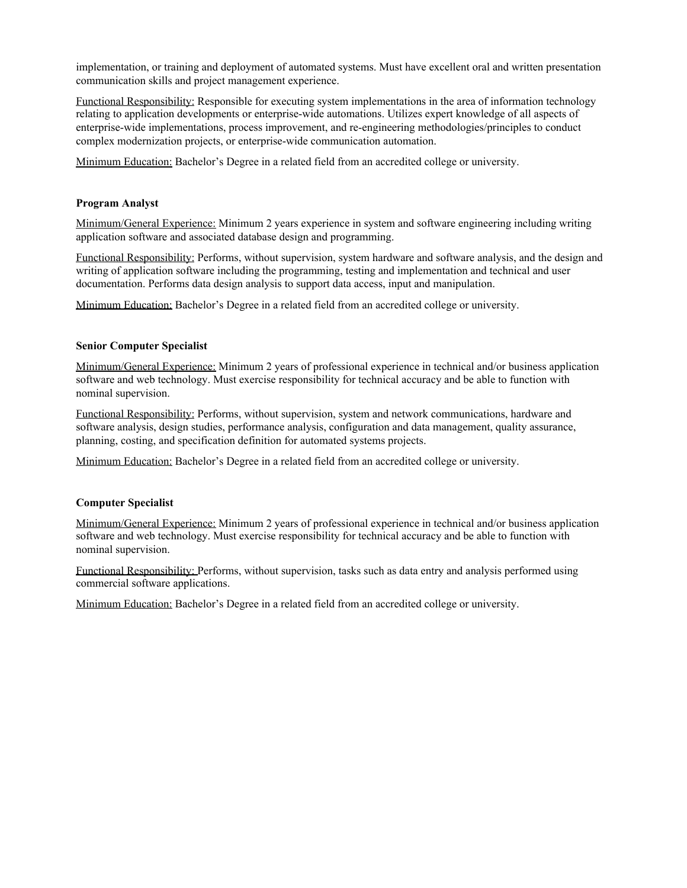implementation, or training and deployment of automated systems. Must have excellent oral and written presentation communication skills and project management experience.

Functional Responsibility: Responsible for executing system implementations in the area of information technology relating to application developments or enterprise-wide automations. Utilizes expert knowledge of all aspects of enterprise-wide implementations, process improvement, and re-engineering methodologies/principles to conduct complex modernization projects, or enterprise-wide communication automation.

Minimum Education: Bachelor's Degree in a related field from an accredited college or university.

#### **Program Analyst**

Minimum/General Experience: Minimum 2 years experience in system and software engineering including writing application software and associated database design and programming.

Functional Responsibility: Performs, without supervision, system hardware and software analysis, and the design and writing of application software including the programming, testing and implementation and technical and user documentation. Performs data design analysis to support data access, input and manipulation.

Minimum Education: Bachelor's Degree in a related field from an accredited college or university.

#### **Senior Computer Specialist**

Minimum/General Experience: Minimum 2 years of professional experience in technical and/or business application software and web technology. Must exercise responsibility for technical accuracy and be able to function with nominal supervision.

Functional Responsibility: Performs, without supervision, system and network communications, hardware and software analysis, design studies, performance analysis, configuration and data management, quality assurance, planning, costing, and specification definition for automated systems projects.

Minimum Education: Bachelor's Degree in a related field from an accredited college or university.

#### **Computer Specialist**

Minimum/General Experience: Minimum 2 years of professional experience in technical and/or business application software and web technology. Must exercise responsibility for technical accuracy and be able to function with nominal supervision.

Functional Responsibility: Performs, without supervision, tasks such as data entry and analysis performed using commercial software applications.

Minimum Education: Bachelor's Degree in a related field from an accredited college or university.